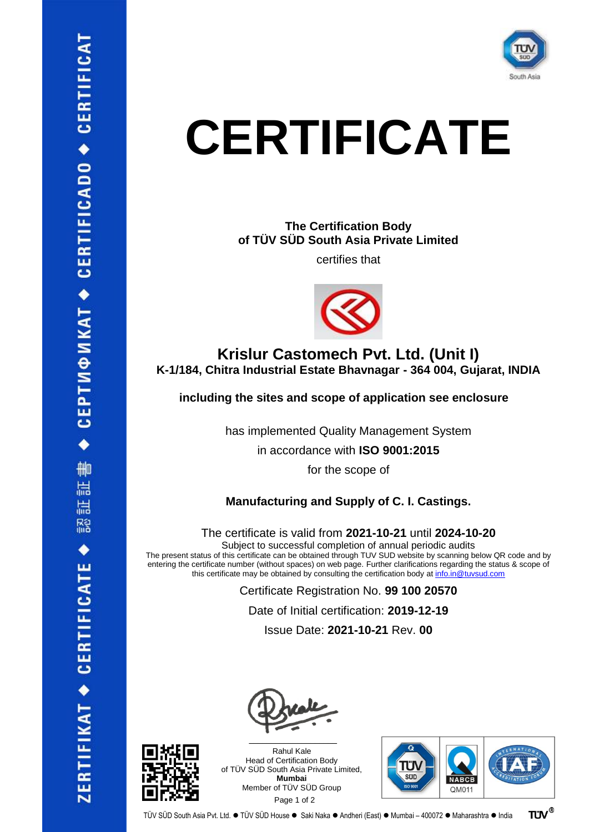

**The Certification Body of TÜV SÜD South Asia Private Limited**

certifies that



### **Krislur Castomech Pvt. Ltd. (Unit I) K-1/184, Chitra Industrial Estate Bhavnagar - 364 004, Gujarat, INDIA**

**including the sites and scope of application see enclosure**

has implemented Quality Management System

in accordance with **ISO 9001:2015**

for the scope of

#### **Manufacturing and Supply of C. I. Castings.**

The certificate is valid from **2021-10-21** until **2024-10-20**

Subject to successful completion of annual periodic audits

The present status of this certificate can be obtained through TUV SUD website by scanning below QR code and by entering the certificate number (without spaces) on web page. Further clarifications regarding the status & scope of this certificate may be obtained by consulting the certification body at [info.in@tuvsud.com](mailto:info.in@tuvsud.com)

Certificate Registration No. **99 100 20570**

Date of Initial certification: **2019-12-19**

Issue Date: **2021-10-21** Rev. **00**



 $\frac{1}{2}$  ,  $\frac{1}{2}$  ,  $\frac{1}{2}$  ,  $\frac{1}{2}$  ,  $\frac{1}{2}$  ,  $\frac{1}{2}$  ,  $\frac{1}{2}$  ,  $\frac{1}{2}$  ,  $\frac{1}{2}$  ,  $\frac{1}{2}$  ,  $\frac{1}{2}$  ,  $\frac{1}{2}$  ,  $\frac{1}{2}$  ,  $\frac{1}{2}$  ,  $\frac{1}{2}$  ,  $\frac{1}{2}$  ,  $\frac{1}{2}$  ,  $\frac{1}{2}$  ,  $\frac{1$ Rahul Kale Head of Certification Body of TÜV SÜD South Asia Private Limited, **Mumbai** Member of TÜV SÜD Group Page 1 of 2

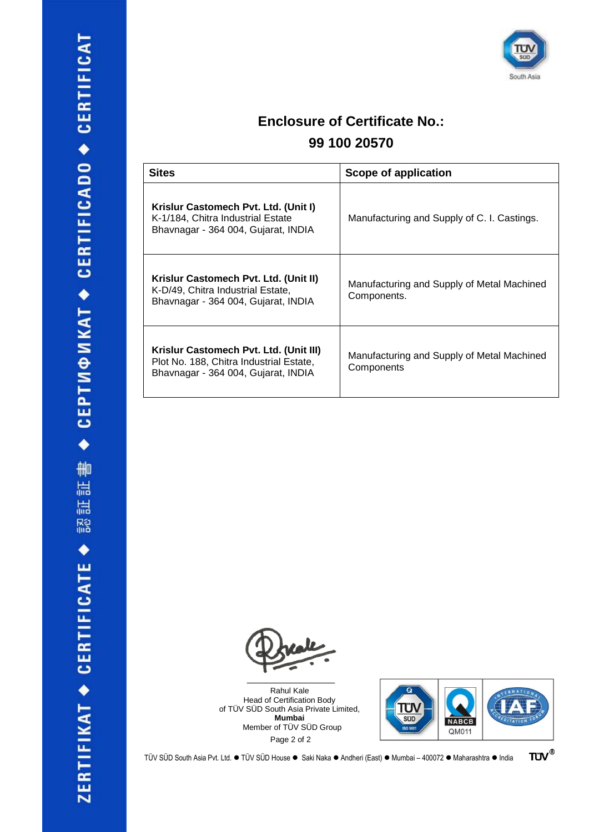

## **Enclosure of Certificate No.:**

### **99 100 20570**

| <b>Sites</b>                                                                                                             | Scope of application                                      |
|--------------------------------------------------------------------------------------------------------------------------|-----------------------------------------------------------|
| Krislur Castomech Pvt. Ltd. (Unit I)<br>K-1/184, Chitra Industrial Estate<br>Bhavnagar - 364 004, Gujarat, INDIA         | Manufacturing and Supply of C. I. Castings.               |
| Krislur Castomech Pvt. Ltd. (Unit II)<br>K-D/49, Chitra Industrial Estate,<br>Bhavnagar - 364 004, Gujarat, INDIA        | Manufacturing and Supply of Metal Machined<br>Components. |
| Krislur Castomech Pvt. Ltd. (Unit III)<br>Plot No. 188, Chitra Industrial Estate,<br>Bhavnagar - 364 004, Gujarat, INDIA | Manufacturing and Supply of Metal Machined<br>Components  |

 $\mathcal{L}=\mathcal{L}^{\mathcal{L}}$ 

Rahul Kale Head of Certification Body of TÜV SÜD South Asia Private Limited, **Mumbai** Member of TÜV SÜD Group Page 2 of 2



TÜV SÜD South Asia Pvt. Ltd. ● TÜV SÜD House ● Saki Naka ● Andheri (East) ● Mumbai – 400072 ● Maharashtra ● India

**TÜV®**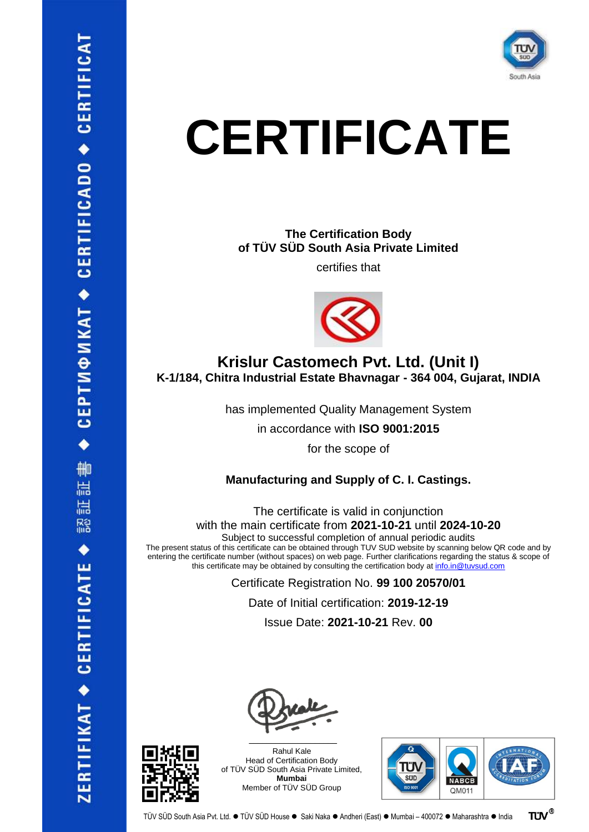

**The Certification Body of TÜV SÜD South Asia Private Limited**

certifies that



### **Krislur Castomech Pvt. Ltd. (Unit I) K-1/184, Chitra Industrial Estate Bhavnagar - 364 004, Gujarat, INDIA**

has implemented Quality Management System

in accordance with **ISO 9001:2015**

for the scope of

#### **Manufacturing and Supply of C. I. Castings.**

The certificate is valid in conjunction with the main certificate from **2021-10-21** until **2024-10-20**

Subject to successful completion of annual periodic audits

The present status of this certificate can be obtained through TUV SUD website by scanning below QR code and by entering the certificate number (without spaces) on web page. Further clarifications regarding the status & scope of this certificate may be obtained by consulting the certification body at [info.in@tuvsud.com](mailto:info.in@tuvsud.com)

> Certificate Registration No. **99 100 20570/01** Date of Initial certification: **2019-12-19**

Issue Date: **2021-10-21** Rev. **00**





Rahul Kale Head of Certification Body of TÜV SÜD South Asia Private Limited, **Mumbai** Member of TÜV SÜD Group

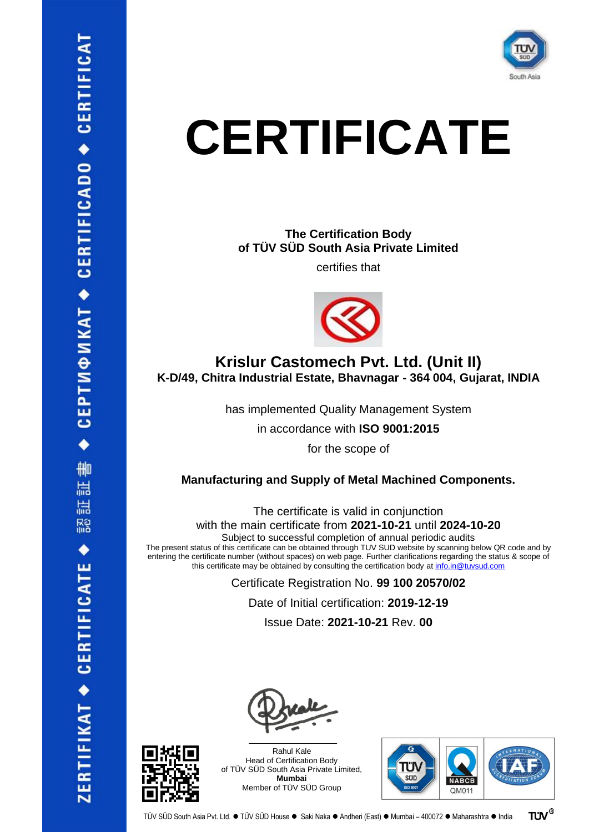

**The Certification Body of TÜV SÜD South Asia Private Limited**

certifies that



### **Krislur Castomech Pvt. Ltd. (Unit II) K-D/49, Chitra Industrial Estate, Bhavnagar - 364 004, Gujarat, INDIA**

has implemented Quality Management System

in accordance with **ISO 9001:2015**

for the scope of

#### **Manufacturing and Supply of Metal Machined Components.**

The certificate is valid in conjunction with the main certificate from **2021-10-21** until **2024-10-20**

Subject to successful completion of annual periodic audits

The present status of this certificate can be obtained through TUV SUD website by scanning below QR code and by entering the certificate number (without spaces) on web page. Further clarifications regarding the status & scope of this certificate may be obtained by consulting the certification body at [info.in@tuvsud.com](mailto:info.in@tuvsud.com)

> Certificate Registration No. **99 100 20570/02** Date of Initial certification: **2019-12-19**

Issue Date: **2021-10-21** Rev. **00**





Rahul Kale Head of Certification Body of TÜV SÜD South Asia Private Limited, **Mumbai** Member of TÜV SÜD Group